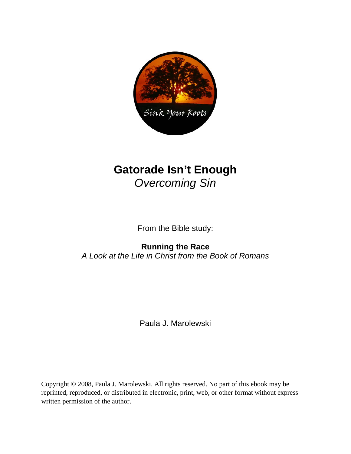

# **Gatorade Isn't Enough**  *Overcoming Sin*

From the Bible study:

# **Running the Race**

*A Look at the Life in Christ from the Book of Romans* 

Paula J. Marolewski

Copyright © 2008, Paula J. Marolewski. All rights reserved. No part of this ebook may be reprinted, reproduced, or distributed in electronic, print, web, or other format without express written permission of the author.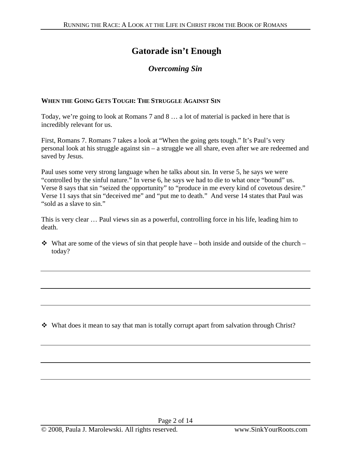### **Gatorade isn't Enough**

### *Overcoming Sin*

#### **WHEN THE GOING GETS TOUGH: THE STRUGGLE AGAINST SIN**

Today, we're going to look at Romans 7 and 8 … a lot of material is packed in here that is incredibly relevant for us.

First, Romans 7. Romans 7 takes a look at "When the going gets tough." It's Paul's very personal look at his struggle against sin – a struggle we all share, even after we are redeemed and saved by Jesus.

Paul uses some very strong language when he talks about sin. In verse 5, he says we were "controlled by the sinful nature." In verse 6, he says we had to die to what once "bound" us. Verse 8 says that sin "seized the opportunity" to "produce in me every kind of covetous desire." Verse 11 says that sin "deceived me" and "put me to death." And verse 14 states that Paul was "sold as a slave to sin."

This is very clear … Paul views sin as a powerful, controlling force in his life, leading him to death.

 $\cdot \cdot$  What are some of the views of sin that people have – both inside and outside of the church – today?

 $\cdot \cdot$  What does it mean to say that man is totally corrupt apart from salvation through Christ?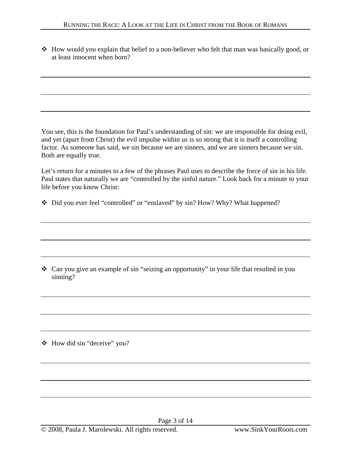How would you explain that belief to a non-believer who felt that man was basically good, or at least innocent when born?

You see, this is the foundation for Paul's understanding of sin: we are responsible for doing evil, and yet (apart from Christ) the evil impulse within us is so strong that it is itself a controlling factor. As someone has said, we sin because we are sinners, and we are sinners because we sin. Both are equally true.

Let's return for a minutes to a few of the phrases Paul uses to describe the force of sin in his life. Paul states that naturally we are "controlled by the sinful nature." Look back for a minute to your life before you know Christ:

• Did you ever feel "controlled" or "enslaved" by sin? How? Why? What happened?

 Can you give an example of sin "seizing an opportunity" in your life that resulted in you sinning?

How did sin "deceive" you?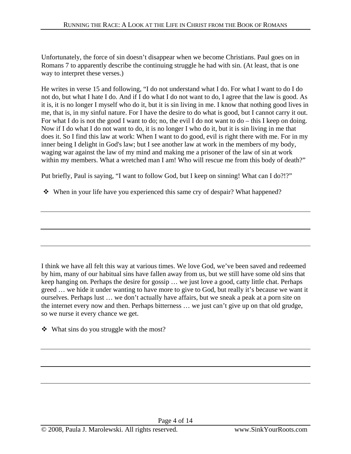Unfortunately, the force of sin doesn't disappear when we become Christians. Paul goes on in Romans 7 to apparently describe the continuing struggle he had with sin. (At least, that is one way to interpret these verses.)

He writes in verse 15 and following, "I do not understand what I do. For what I want to do I do not do, but what I hate I do. And if I do what I do not want to do, I agree that the law is good. As it is, it is no longer I myself who do it, but it is sin living in me. I know that nothing good lives in me, that is, in my sinful nature. For I have the desire to do what is good, but I cannot carry it out. For what I do is not the good I want to do; no, the evil I do not want to do – this I keep on doing. Now if I do what I do not want to do, it is no longer I who do it, but it is sin living in me that does it. So I find this law at work: When I want to do good, evil is right there with me. For in my inner being I delight in God's law; but I see another law at work in the members of my body, waging war against the law of my mind and making me a prisoner of the law of sin at work within my members. What a wretched man I am! Who will rescue me from this body of death?"

Put briefly, Paul is saying, "I want to follow God, but I keep on sinning! What can I do?!?"

• When in your life have you experienced this same cry of despair? What happened?

I think we have all felt this way at various times. We love God, we've been saved and redeemed by him, many of our habitual sins have fallen away from us, but we still have some old sins that keep hanging on. Perhaps the desire for gossip … we just love a good, catty little chat. Perhaps greed … we hide it under wanting to have more to give to God, but really it's because we want it ourselves. Perhaps lust … we don't actually have affairs, but we sneak a peak at a porn site on the internet every now and then. Perhaps bitterness … we just can't give up on that old grudge, so we nurse it every chance we get.

What sins do you struggle with the most?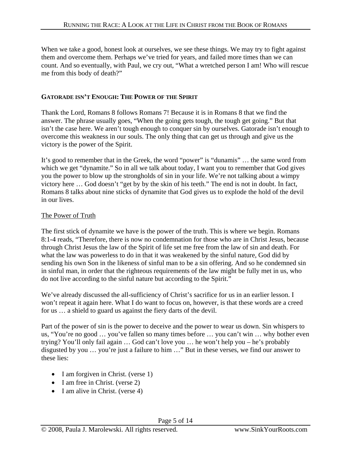When we take a good, honest look at ourselves, we see these things. We may try to fight against them and overcome them. Perhaps we've tried for years, and failed more times than we can count. And so eventually, with Paul, we cry out, "What a wretched person I am! Who will rescue me from this body of death?"

#### **GATORADE ISN'T ENOUGH: THE POWER OF THE SPIRIT**

Thank the Lord, Romans 8 follows Romans 7! Because it is in Romans 8 that we find the answer. The phrase usually goes, "When the going gets tough, the tough get going." But that isn't the case here. We aren't tough enough to conquer sin by ourselves. Gatorade isn't enough to overcome this weakness in our souls. The only thing that can get us through and give us the victory is the power of the Spirit.

It's good to remember that in the Greek, the word "power" is "dunamis" … the same word from which we get "dynamite." So in all we talk about today, I want you to remember that God gives you the power to blow up the strongholds of sin in your life. We're not talking about a wimpy victory here … God doesn't "get by by the skin of his teeth." The end is not in doubt. In fact, Romans 8 talks about nine sticks of dynamite that God gives us to explode the hold of the devil in our lives.

#### The Power of Truth

The first stick of dynamite we have is the power of the truth. This is where we begin. Romans 8:1-4 reads, "Therefore, there is now no condemnation for those who are in Christ Jesus, because through Christ Jesus the law of the Spirit of life set me free from the law of sin and death. For what the law was powerless to do in that it was weakened by the sinful nature, God did by sending his own Son in the likeness of sinful man to be a sin offering. And so he condemned sin in sinful man, in order that the righteous requirements of the law might be fully met in us, who do not live according to the sinful nature but according to the Spirit."

We've already discussed the all-sufficiency of Christ's sacrifice for us in an earlier lesson. I won't repeat it again here. What I do want to focus on, however, is that these words are a creed for us … a shield to guard us against the fiery darts of the devil.

Part of the power of sin is the power to deceive and the power to wear us down. Sin whispers to us, "You're no good … you've fallen so many times before … you can't win … why bother even trying? You'll only fail again … God can't love you … he won't help you – he's probably disgusted by you … you're just a failure to him …" But in these verses, we find our answer to these lies:

- I am forgiven in Christ. (verse 1)
- I am free in Christ. (verse 2)
- I am alive in Christ. (verse 4)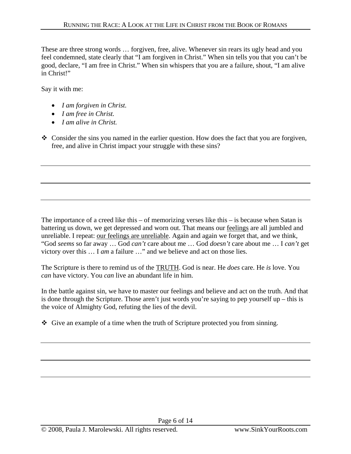These are three strong words … forgiven, free, alive. Whenever sin rears its ugly head and you feel condemned, state clearly that "I am forgiven in Christ." When sin tells you that you can't be good, declare, "I am free in Christ." When sin whispers that you are a failure, shout, "I am alive in Christ!"

Say it with me:

- *I am forgiven in Christ.*
- *I am free in Christ.*
- *I am alive in Christ.*
- $\div$  Consider the sins you named in the earlier question. How does the fact that you are forgiven, free, and alive in Christ impact your struggle with these sins?

The importance of a creed like this – of memorizing verses like this – is because when Satan is battering us down, we get depressed and worn out. That means our feelings are all jumbled and unreliable. I repeat: our feelings are unreliable. Again and again we forget that, and we think, "God *seems* so far away … God *can't* care about me … God *doesn't* care about me … I *can't* get victory over this … I *am* a failure …" and we believe and act on those lies.

The Scripture is there to remind us of the TRUTH. God is near. He *does* care. He *is* love. You *can* have victory. You *can* live an abundant life in him.

In the battle against sin, we have to master our feelings and believe and act on the truth. And that is done through the Scripture. Those aren't just words you're saying to pep yourself up – this is the voice of Almighty God, refuting the lies of the devil.

Give an example of a time when the truth of Scripture protected you from sinning.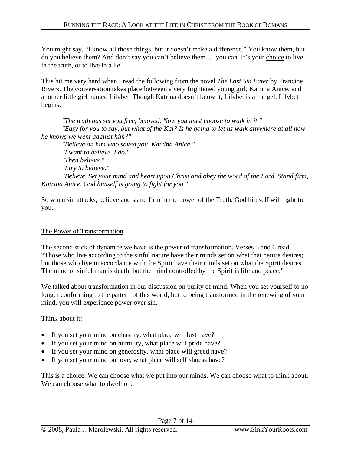You might say, "I know all those things, but it doesn't make a difference." You know them, but do you believe them? And don't say you can't believe them … you can. It's your choice to live in the truth, or to live in a lie.

This hit me very hard when I read the following from the novel *The Last Sin Eater* by Francine Rivers. The conversation takes place between a very frightened young girl, Katrina Anice, and another little girl named Lilybet. Though Katrina doesn't know it, Lilybet is an angel. Lilybet begins:

*"The truth has set you free, beloved. Now you must choose to walk in it." "Easy for you to say, but what of the Kai? Is he going to let us walk anywhere at all now he knows we went against him?" "Believe on him who saved you, Katrina Anice."* 

*"I want to believe. I do." "Then believe." "I try to believe." "Believe. Set your mind and heart upon Christ and obey the word of the Lord. Stand firm, Katrina Anice. God himself is going to fight for you."*

So when sin attacks, believe and stand firm in the power of the Truth. God himself will fight for you.

#### The Power of Transformation

The second stick of dynamite we have is the power of transformation. Verses 5 and 6 read, "Those who live according to the sinful nature have their minds set on what that nature desires; but those who live in accordance with the Spirit have their minds set on what the Spirit desires. The mind of sinful man is death, but the mind controlled by the Spirit is life and peace."

We talked about transformation in our discussion on purity of mind. When you set yourself to no longer conforming to the pattern of this world, but to being transformed in the renewing of your mind, you will experience power over sin.

Think about it:

- If you set your mind on chastity, what place will lust have?
- If you set your mind on humility, what place will pride have?
- If you set your mind on generosity, what place will greed have?
- If you set your mind on love, what place will selfishness have?

This is a choice. We can choose what we put into our minds. We can choose what to think about. We can choose what to dwell on.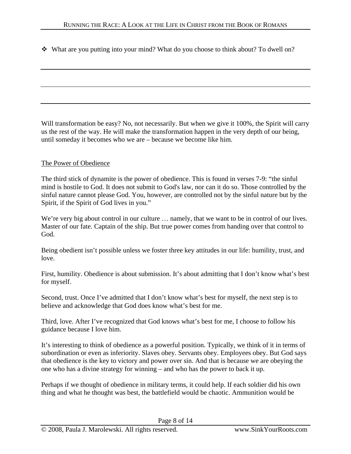What are you putting into your mind? What do you choose to think about? To dwell on?

Will transformation be easy? No, not necessarily. But when we give it 100%, the Spirit will carry us the rest of the way. He will make the transformation happen in the very depth of our being, until someday it becomes who we are – because we become like him.

#### The Power of Obedience

The third stick of dynamite is the power of obedience. This is found in verses 7-9: "the sinful mind is hostile to God. It does not submit to God's law, nor can it do so. Those controlled by the sinful nature cannot please God. You, however, are controlled not by the sinful nature but by the Spirit, if the Spirit of God lives in you."

We're very big about control in our culture ... namely, that we want to be in control of our lives. Master of our fate. Captain of the ship. But true power comes from handing over that control to God.

Being obedient isn't possible unless we foster three key attitudes in our life: humility, trust, and love.

First, humility. Obedience is about submission. It's about admitting that I don't know what's best for myself.

Second, trust. Once I've admitted that I don't know what's best for myself, the next step is to believe and acknowledge that God does know what's best for me.

Third, love. After I've recognized that God knows what's best for me, I choose to follow his guidance because I love him.

It's interesting to think of obedience as a powerful position. Typically, we think of it in terms of subordination or even as inferiority. Slaves obey. Servants obey. Employees obey. But God says that obedience is the key to victory and power over sin. And that is because we are obeying the one who has a divine strategy for winning – and who has the power to back it up.

Perhaps if we thought of obedience in military terms, it could help. If each soldier did his own thing and what he thought was best, the battlefield would be chaotic. Ammunition would be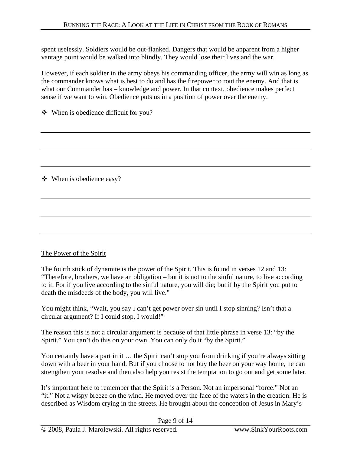spent uselessly. Soldiers would be out-flanked. Dangers that would be apparent from a higher vantage point would be walked into blindly. They would lose their lives and the war.

However, if each soldier in the army obeys his commanding officer, the army will win as long as the commander knows what is best to do and has the firepower to rout the enemy. And that is what our Commander has – knowledge and power. In that context, obedience makes perfect sense if we want to win. Obedience puts us in a position of power over the enemy.

When is obedience difficult for you?

When is obedience easy?

#### The Power of the Spirit

The fourth stick of dynamite is the power of the Spirit. This is found in verses 12 and 13: "Therefore, brothers, we have an obligation – but it is not to the sinful nature, to live according to it. For if you live according to the sinful nature, you will die; but if by the Spirit you put to death the misdeeds of the body, you will live."

You might think, "Wait, you say I can't get power over sin until I stop sinning? Isn't that a circular argument? If I could stop, I would!"

The reason this is not a circular argument is because of that little phrase in verse 13: "by the Spirit." You can't do this on your own. You can only do it "by the Spirit."

You certainly have a part in it ... the Spirit can't stop you from drinking if you're always sitting down with a beer in your hand. But if you choose to not buy the beer on your way home, he can strengthen your resolve and then also help you resist the temptation to go out and get some later.

It's important here to remember that the Spirit is a Person. Not an impersonal "force." Not an "it." Not a wispy breeze on the wind. He moved over the face of the waters in the creation. He is described as Wisdom crying in the streets. He brought about the conception of Jesus in Mary's

Page 9 of 14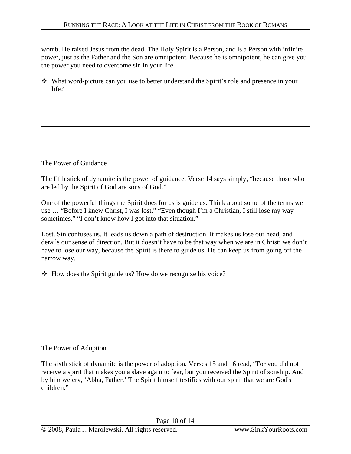womb. He raised Jesus from the dead. The Holy Spirit is a Person, and is a Person with infinite power, just as the Father and the Son are omnipotent. Because he is omnipotent, he can give you the power you need to overcome sin in your life.

 What word-picture can you use to better understand the Spirit's role and presence in your life?

#### The Power of Guidance

The fifth stick of dynamite is the power of guidance. Verse 14 says simply, "because those who are led by the Spirit of God are sons of God."

One of the powerful things the Spirit does for us is guide us. Think about some of the terms we use … "Before I knew Christ, I was lost." "Even though I'm a Christian, I still lose my way sometimes." "I don't know how I got into that situation."

Lost. Sin confuses us. It leads us down a path of destruction. It makes us lose our head, and derails our sense of direction. But it doesn't have to be that way when we are in Christ: we don't have to lose our way, because the Spirit is there to guide us. He can keep us from going off the narrow way.

 $\triangle$  How does the Spirit guide us? How do we recognize his voice?

#### The Power of Adoption

The sixth stick of dynamite is the power of adoption. Verses 15 and 16 read, "For you did not receive a spirit that makes you a slave again to fear, but you received the Spirit of sonship. And by him we cry, 'Abba, Father.' The Spirit himself testifies with our spirit that we are God's children."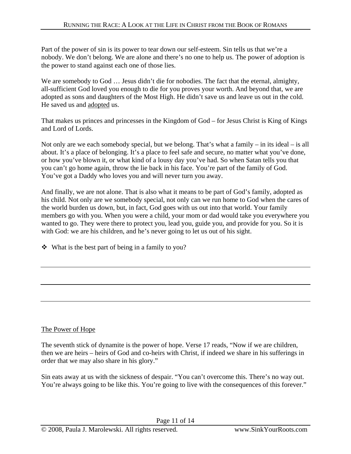Part of the power of sin is its power to tear down our self-esteem. Sin tells us that we're a nobody. We don't belong. We are alone and there's no one to help us. The power of adoption is the power to stand against each one of those lies.

We are somebody to God … Jesus didn't die for nobodies. The fact that the eternal, almighty, all-sufficient God loved you enough to die for you proves your worth. And beyond that, we are adopted as sons and daughters of the Most High. He didn't save us and leave us out in the cold. He saved us and adopted us.

That makes us princes and princesses in the Kingdom of God – for Jesus Christ is King of Kings and Lord of Lords.

Not only are we each somebody special, but we belong. That's what a family – in its ideal – is all about. It's a place of belonging. It's a place to feel safe and secure, no matter what you've done, or how you've blown it, or what kind of a lousy day you've had. So when Satan tells you that you can't go home again, throw the lie back in his face. You're part of the family of God. You've got a Daddy who loves you and will never turn you away.

And finally, we are not alone. That is also what it means to be part of God's family, adopted as his child. Not only are we somebody special, not only can we run home to God when the cares of the world burden us down, but, in fact, God goes with us out into that world. Your family members go with you. When you were a child, your mom or dad would take you everywhere you wanted to go. They were there to protect you, lead you, guide you, and provide for you. So it is with God: we are his children, and he's never going to let us out of his sight.

What is the best part of being in a family to you?

### The Power of Hope

The seventh stick of dynamite is the power of hope. Verse 17 reads, "Now if we are children, then we are heirs – heirs of God and co-heirs with Christ, if indeed we share in his sufferings in order that we may also share in his glory."

Sin eats away at us with the sickness of despair. "You can't overcome this. There's no way out. You're always going to be like this. You're going to live with the consequences of this forever."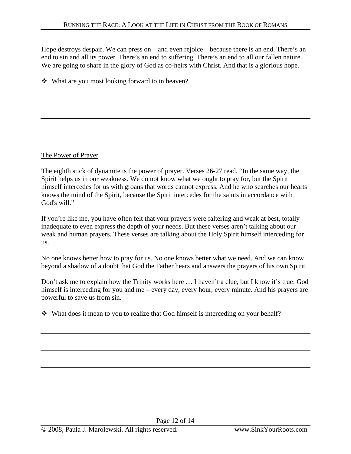Hope destroys despair. We can press on – and even rejoice – because there is an end. There's an end to sin and all its power. There's an end to suffering. There's an end to all our fallen nature. We are going to share in the glory of God as co-heirs with Christ. And that is a glorious hope.

What are you most looking forward to in heaven?

The Power of Prayer

The eighth stick of dynamite is the power of prayer. Verses 26-27 read, "In the same way, the Spirit helps us in our weakness. We do not know what we ought to pray for, but the Spirit himself intercedes for us with groans that words cannot express. And he who searches our hearts knows the mind of the Spirit, because the Spirit intercedes for the saints in accordance with God's will."

If you're like me, you have often felt that your prayers were faltering and weak at best, totally inadequate to even express the depth of your needs. But these verses aren't talking about our weak and human prayers. These verses are talking about the Holy Spirit himself interceding for us.

No one knows better how to pray for us. No one knows better what we need. And we can know beyond a shadow of a doubt that God the Father hears and answers the prayers of his own Spirit.

Don't ask me to explain how the Trinity works here … I haven't a clue, but I know it's true: God himself is interceding for you and me – every day, every hour, every minute. And his prayers are powerful to save us from sin.

What does it mean to you to realize that God himself is interceding on your behalf?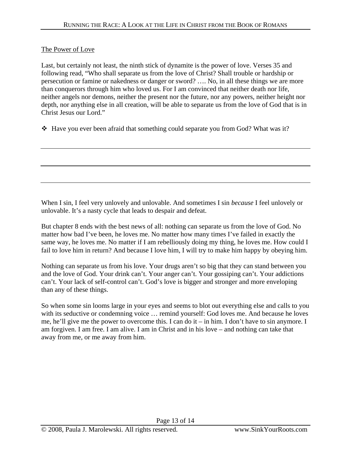#### The Power of Love

Last, but certainly not least, the ninth stick of dynamite is the power of love. Verses 35 and following read, "Who shall separate us from the love of Christ? Shall trouble or hardship or persecution or famine or nakedness or danger or sword? …. No, in all these things we are more than conquerors through him who loved us. For I am convinced that neither death nor life, neither angels nor demons, neither the present nor the future, nor any powers, neither height nor depth, nor anything else in all creation, will be able to separate us from the love of God that is in Christ Jesus our Lord."

 $\div$  Have you ever been afraid that something could separate you from God? What was it?

When I sin, I feel very unlovely and unlovable. And sometimes I sin *because* I feel unlovely or unlovable. It's a nasty cycle that leads to despair and defeat.

But chapter 8 ends with the best news of all: nothing can separate us from the love of God. No matter how bad I've been, he loves me. No matter how many times I've failed in exactly the same way, he loves me. No matter if I am rebelliously doing my thing, he loves me. How could I fail to love him in return? And because I love him, I will try to make him happy by obeying him.

Nothing can separate us from his love. Your drugs aren't so big that they can stand between you and the love of God. Your drink can't. Your anger can't. Your gossiping can't. Your addictions can't. Your lack of self-control can't. God's love is bigger and stronger and more enveloping than any of these things.

So when some sin looms large in your eyes and seems to blot out everything else and calls to you with its seductive or condemning voice … remind yourself: God loves me. And because he loves me, he'll give me the power to overcome this. I can do it – in him. I don't have to sin anymore. I am forgiven. I am free. I am alive. I am in Christ and in his love – and nothing can take that away from me, or me away from him.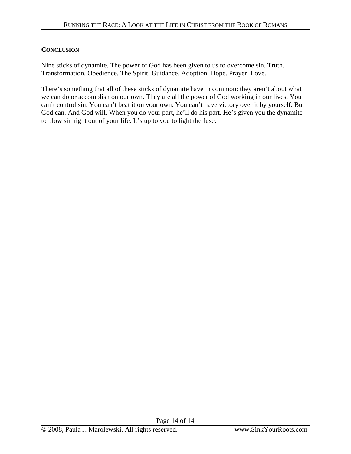#### **CONCLUSION**

Nine sticks of dynamite. The power of God has been given to us to overcome sin. Truth. Transformation. Obedience. The Spirit. Guidance. Adoption. Hope. Prayer. Love.

There's something that all of these sticks of dynamite have in common: they aren't about what we can do or accomplish on our own. They are all the power of God working in our lives. You can't control sin. You can't beat it on your own. You can't have victory over it by yourself. But God can. And God will. When you do your part, he'll do his part. He's given you the dynamite to blow sin right out of your life. It's up to you to light the fuse.